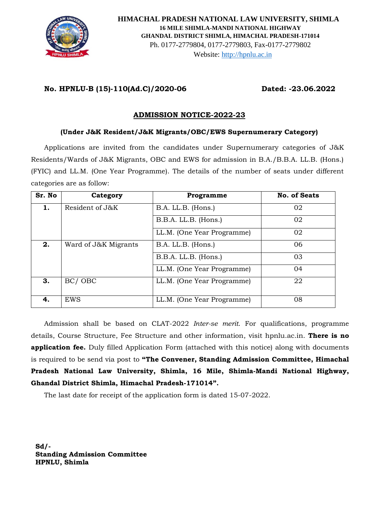

# **No. HPNLU-B (15)-110(Ad.C)/2020-06 Dated: -23.06.2022**

# **ADMISSION NOTICE-2022-23**

## **(Under J&K Resident/J&K Migrants/OBC/EWS Supernumerary Category)**

Applications are invited from the candidates under Supernumerary categories of J&K Residents/Wards of J&K Migrants, OBC and EWS for admission in B.A./B.B.A. LL.B. (Hons.) (FYIC) and LL.M. (One Year Programme). The details of the number of seats under different categories are as follow:

| Sr. No | Category             | Programme                  | <b>No. of Seats</b> |
|--------|----------------------|----------------------------|---------------------|
| 1.     | Resident of J&K      | B.A. LL.B. (Hons.)         | 02                  |
|        |                      | B.B.A. LL.B. (Hons.)       | 02                  |
|        |                      | LL.M. (One Year Programme) | 02                  |
| 2.     | Ward of J&K Migrants | B.A. LL.B. (Hons.)         | 06                  |
|        |                      | B.B.A. LL.B. (Hons.)       | 03                  |
|        |                      | LL.M. (One Year Programme) | 04                  |
| 3.     | BC/OBC               | LL.M. (One Year Programme) | 22                  |
| 4.     | EWS                  | LL.M. (One Year Programme) | 08                  |

Admission shall be based on CLAT-2022 *Inter-se merit*. For qualifications, programme details, Course Structure, Fee Structure and other information, visit hpnlu.ac.in. **There is no application fee.** Duly filled Application Form (attached with this notice) along with documents is required to be send via post to **"The Convener, Standing Admission Committee, Himachal Pradesh National Law University, Shimla, 16 Mile, Shimla-Mandi National Highway, Ghandal District Shimla, Himachal Pradesh-171014".**

The last date for receipt of the application form is dated 15-07-2022.

**Sd/- Standing Admission Committee HPNLU, Shimla**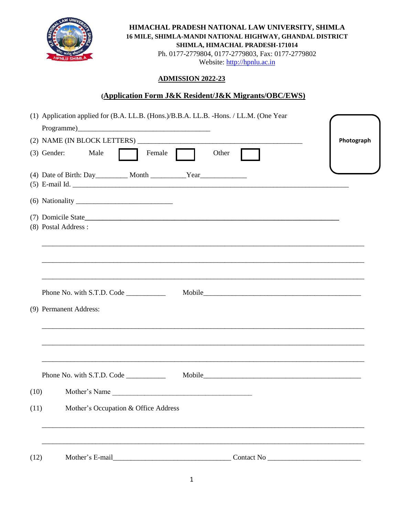

HIMACHAL PRADESH NATIONAL LAW UNIVERSITY, SHIMLA 16 MILE, SHIMLA-MANDI NATIONAL HIGHWAY, GHANDAL DISTRICT SHIMLA, HIMACHAL PRADESH-171014

Ph. 0177-2779804, 0177-2779803, Fax: 0177-2779802 Website: http://hpnlu.ac.in

## **ADMISSION 2022-23**

## (Application Form J&K Resident/J&K Migrants/OBC/EWS)

| (1) Application applied for (B.A. LL.B. (Hons.)/B.B.A. LL.B. -Hons. / LL.M. (One Year |                                                                                                                                               |            |
|---------------------------------------------------------------------------------------|-----------------------------------------------------------------------------------------------------------------------------------------------|------------|
|                                                                                       |                                                                                                                                               |            |
|                                                                                       |                                                                                                                                               | Photograph |
|                                                                                       | Other<br>(3) Gender: Male<br>Female                                                                                                           |            |
|                                                                                       |                                                                                                                                               |            |
|                                                                                       |                                                                                                                                               |            |
|                                                                                       | (7) Domicile State                                                                                                                            |            |
|                                                                                       | (8) Postal Address :<br><u> 1989 - Johann Stoff, deutscher Stoff, der Stoff, der Stoff, der Stoff, der Stoff, der Stoff, der Stoff, der S</u> |            |
|                                                                                       | (9) Permanent Address:                                                                                                                        |            |
|                                                                                       |                                                                                                                                               |            |
|                                                                                       | Phone No. with S.T.D. Code                                                                                                                    |            |
| (10)                                                                                  | Mother's Name                                                                                                                                 |            |
| (11)                                                                                  | Mother's Occupation & Office Address                                                                                                          |            |
| (12)                                                                                  | Mother's E-mail                                                                                                                               |            |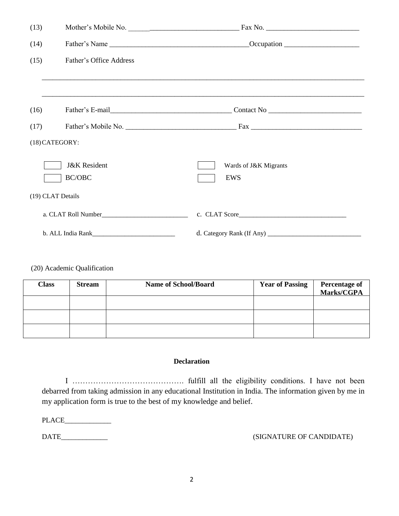| (13) | Mother's Mobile No.     |                                                                                        |
|------|-------------------------|----------------------------------------------------------------------------------------|
| (14) |                         |                                                                                        |
| (15) | Father's Office Address |                                                                                        |
|      |                         | <u>,这就是一个人的人,我们就是一个人的人,我们就是一个人的人,我们就是一个人的人,我们就是一个人的人,我们就是一个人的人,我们就是一个人的人,我们就是一个人的人</u> |
| (16) |                         |                                                                                        |
| (17) |                         |                                                                                        |
|      | (18) CATEGORY:          |                                                                                        |
|      | <b>J&amp;K</b> Resident | Wards of J&K Migrants                                                                  |
|      | BC/OBC                  | EWS                                                                                    |
|      | (19) CLAT Details       |                                                                                        |
|      |                         |                                                                                        |
|      |                         |                                                                                        |

#### (20) Academic Qualification

| <b>Class</b> | <b>Stream</b> | <b>Name of School/Board</b> | <b>Year of Passing</b> | <b>Percentage of<br/>Marks/CGPA</b> |
|--------------|---------------|-----------------------------|------------------------|-------------------------------------|
|              |               |                             |                        |                                     |
|              |               |                             |                        |                                     |
|              |               |                             |                        |                                     |

## **Declaration**

I ……………………………………. fulfill all the eligibility conditions. I have not been debarred from taking admission in any educational Institution in India. The information given by me in my application form is true to the best of my knowledge and belief.

PLACE\_\_\_\_\_\_\_\_\_\_\_\_\_

DATE\_\_\_\_\_\_\_\_\_\_\_\_\_ (SIGNATURE OF CANDIDATE)